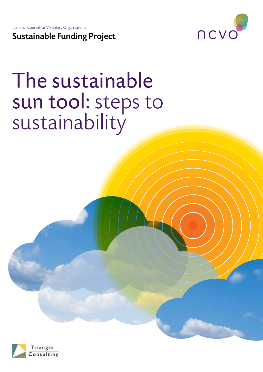Sustainable Funding Project National Council for Voluntary Organisations



# The sustainable sun tool: steps to<br>sustainability

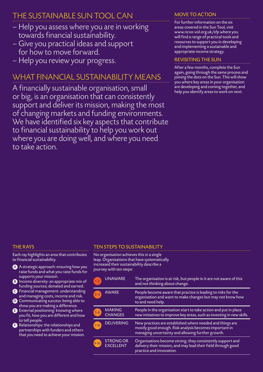### The Sustainable Sun Tool can

- Help you assess where you are in working towards financial sustainability.
- Give you practical ideas and support for how to move forward.
- Help you review your progress.

# WHAT FINANCIAL SUSTAINABILITY MEANS

A financially sustainable organisation, small or big, is an organisation that can consistently support and deliver its mission, making the most of changing markets and funding environments. We have identified six key aspects that contribute to financial sustainability to help you work out where you are doing well, and where you need to take action.

#### MOVE TO ACTION

For further information on the six areas covered in the Sun Tool, visit www.ncvo-vol.org.uk/sfp where you will find a range of practical tools and resources to support you in developing and implementing a sustainable and appropriate income strategy.

#### Revisiting the Sun

After a few months, complete the Sun again, going through the same process and joining the dots on the Sun. This will show you where key areas in your organisation are developing and coming together, and help you identify areas to work on next.

#### The Rays

Each ray highlights an area that contributes to financial sustainability.

- A A strategic approach: ensuring how you raise funds and what you raise funds for supports your mission.
- B Income diversity: an appropriate mix of funding sources; donated and earned.
- C Financial management: understanding and managing costs, income and risk.
- <sup>D</sup> Communicating success: being able to show you are making a difference.
- <sup>E</sup> External positioning: knowing where you fit, how you are different and how to tell people.
- <sup>F</sup> Relationships: the relationships and partnerships with funders and others that you need to achieve your mission.

No organisation achieves this in a single leap. Organisations that have systematically increased their sustainability describe a journey with ten steps:

Ten steps to sustainability

| $1 - 2$  | <b>UNAWARE</b>                       | The organisation is at risk, but people in it are not aware of this<br>and not thinking about change.                                                                    |
|----------|--------------------------------------|--------------------------------------------------------------------------------------------------------------------------------------------------------------------------|
| $3 - 4$  | <b>AWARE</b>                         | People become aware that practice is leading to risks for the<br>organisation and want to make changes but may not know how<br>to and need help.                         |
| $5 - 6$  | <b>MAKING</b><br><b>CHANGES</b>      | People in the organisation start to take action and put in place<br>new initiatives to improve key areas, such as investing in new skills.                               |
| $7 - 8$  | <b>DELIVERING</b>                    | New practices are established where needed and things are<br>mostly good enough. Risk analysis becomes important in<br>managing uncertainty and allowing further growth. |
| $9 - 10$ | <b>STRONG OR</b><br><b>EXCELLENT</b> | Organisations become strong; they consistently support and<br>delivery their mission, and may lead their field through good<br>practice and innovation.                  |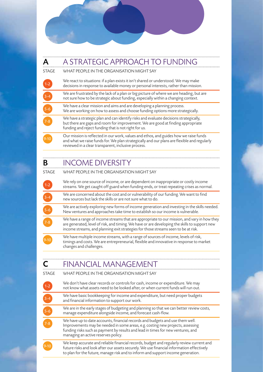

9-10

# **A** A STRATEGIC APPROACH TO FUNDING

Stage What people in the organisation might say

|       | We react to situations: if a plan exists it isn't shared or understood. We may make  |
|-------|--------------------------------------------------------------------------------------|
| $1-2$ | decisions in response to available money or personal interests, rather than mission. |

We are frustrated by the lack of a plan or big picture of where we are heading, but are not sure how to be strategic about funding, especially within a changing context.

We have a clear mission and aims and are developing a planning process. We are working on how to assess and choose funding options more strategically.

We have a strategic plan and can identify risks and evaluate decisions strategically, but there are gaps and room for improvement. We are good at finding appropriate funding and reject funding that is not right for us.

 Our mission is reflected in our work, values and ethos, and guides how we raise funds and what we raise funds for. We plan strategically and our plans are flexible and regularly reviewed in a clear transparent, inclusive process.

# **B** INCOME DIVERSITY

| STAGE              | WHAT PEOPLE IN THE ORGANISATION MIGHT SAY                                                                                                                                       |
|--------------------|---------------------------------------------------------------------------------------------------------------------------------------------------------------------------------|
| $\left(1-2\right)$ | We rely on one source of income, or are dependent on inappropriate or costly income<br>streams. We get caught off guard when funding ends, or treat repeating crises as normal. |
| $3 - 4$            | We are concerned about the cost and or vulnerability of our funding. We want to find<br>new sources but lack the skills or are not sure what to do.                             |
| $5 - 6$            | We are actively exploring new forms of income generation and investing in the skills needed.<br>New ventures and approaches take time to establish so our income is vulnerable. |

We have a range of income streams that are appropriate to our mission, and vary in how they are generated, level of risk, and timing. We have or are developing the skills to support new income streams, and planning exit strategies for those streams seen to be at risk.

. . . . . . . . . . . . .

We have multiple income streams, with a range of sources of income, levels of risk, timings and costs. We are entrepreneurial, flexible and innovative in response to market changes and challenges.

# $C$  FINIANCIAL MANIAGEMENT

|              | I II V/W V V VI/W L IV I/W V/W J L I V I L I V I                                                                                                                                                                                                                                           |
|--------------|--------------------------------------------------------------------------------------------------------------------------------------------------------------------------------------------------------------------------------------------------------------------------------------------|
| <b>STAGE</b> | WHAT PEOPLE IN THE ORGANISATION MIGHT SAY                                                                                                                                                                                                                                                  |
| $1-2$        | We don't have clear records or controls for cash, income or expenditure. We may<br>not know what assets need to be looked after, or when current funds will run out.                                                                                                                       |
| $3 - 4$      | We have basic bookkeeping for income and expenditure, but need proper budgets<br>and financial information to support our work.                                                                                                                                                            |
| $5 - 6$      | We are in the early stages of budgeting and planning so that we can better review costs,<br>manage expenditure alongside income, and forecast cash-flow.                                                                                                                                   |
| $7 - 8$      | We have up to date accounts, financial records and budgets and use them well.<br>Improvements may be needed in some areas, e.g. costing new projects, assessing<br>funding risks such as payment by results and lead in times for new ventures, and<br>managing an active reserves policy. |
|              |                                                                                                                                                                                                                                                                                            |

We keep accurate and reliable financial records, budget and regularly review current and future risks and look after our assets securely. We use financial information effectively to plan for the future, manage risk and to inform and support income generation.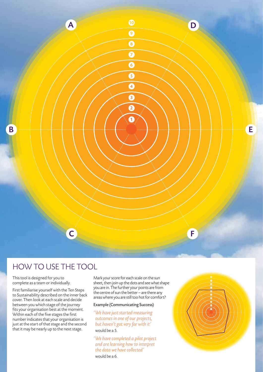

# How to use the tool

This tool is designed for you to complete as a team or individually.

First familiarise yourself with the Ten Steps to Sustainability described on the inner back cover. Then look at each scale and decide between you which stage of the journey fits your organisation best at the moment. Within each of the five stages the first number indicates that your organisation is just at the start of that stage and the second that it may be nearly up to the next stage.

Mark your score for each scale on the sun sheet, then join up the dots and see what shape you are in. The further your points are from the centre of sun the better – are there any areas where you are still too hot for comfort?

#### Example (Communicating Success)

*' We have just started measuring outcomes in one of our projects, but haven't got very far with it'* would be a 5.

*' We have completed a pilot project and are learning how to interpret the data we have collected'*  would be a 6.

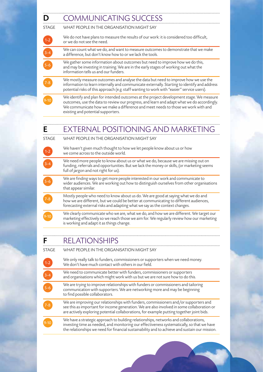| We do not have plans to measure the results of our work: it is considered too difficult,                                                                                                                                                                                         |
|----------------------------------------------------------------------------------------------------------------------------------------------------------------------------------------------------------------------------------------------------------------------------------|
| We can count what we do, and want to measure outcomes to demonstrate that we make                                                                                                                                                                                                |
| We gather some information about outcomes but need to improve how we do this,<br>and may be investing in training. We are in the early stages of working out what the                                                                                                            |
| We mostly measure outcomes and analyse the data but need to improve how we use the<br>information to learn internally and communicate externally. Starting to identify and address<br>potential risks of this approach (e.g. staff wanting to work with "easier" service users). |
| We identify and plan for intended outcomes at the project development stage. We measure<br>outcomes, use the data to review our progress, and learn and adapt what we do accordingly.<br>We communicate how we make a difference and meet needs to those we work with and        |
|                                                                                                                                                                                                                                                                                  |

|              | EXTERNAL POSITIONING AND MARKETING                                                                                                                                                                                                                                              |
|--------------|---------------------------------------------------------------------------------------------------------------------------------------------------------------------------------------------------------------------------------------------------------------------------------|
| <b>STAGE</b> | WHAT PEOPLE IN THE ORGANISATION MIGHT SAY                                                                                                                                                                                                                                       |
| $1 - 2$      | We haven't given much thought to how we let people know about us or how<br>we come across to the outside world.                                                                                                                                                                 |
|              | We need more people to know about us or what we do, because we are missing out on<br>funding, referrals and opportunities. But we lack the money or skills, (or marketing seems<br>full of jargon and not right for us).                                                        |
| $5 - 6$      | We are finding ways to get more people interested in our work and communicate to<br>wider audiences. We are working out how to distinguish ourselves from other organisations<br>that appear similar.                                                                           |
| $7 - 8$      | Mostly people who need to know about us do. We are good at saying what we do and<br>how we are different, but we could be better at communicating to different audiences,<br>forecasting external risks and adapting what we say as the context changes.                        |
| 9-10         | We clearly communicate who we are, what we do, and how we are different. We target our<br>marketing effectively so we reach those we aim for. We regularly review how our marketing<br>is working and adapt it as things change.                                                |
| F            | <b>RELATIONSHIPS</b>                                                                                                                                                                                                                                                            |
| <b>STAGE</b> | WHAT PEOPLE IN THE ORGANISATION MIGHT SAY                                                                                                                                                                                                                                       |
| $1 - 2$      | We only really talk to funders, commissioners or supporters when we need money.<br>We don't have much contact with others in our field.                                                                                                                                         |
| $3 - 4$      | We need to communicate better with funders, commissioners or supporters<br>and organisations which might work with us but we are not sure how to do this.                                                                                                                       |
| $5 - 6$      | We are trying to improve relationships with funders or commissioners and tailoring<br>communication with supporters. We are networking more and may be beginning<br>to find possible collaborators.                                                                             |
| $7 - 8$      | We are improving our relationships with funders, commissioners and/or supporters and<br>see this as important for income generation. We are also involved in some collaboration or<br>are actively exploring potential collaborations, for example putting together joint bids. |

9-10 We have a strategic approach to building relationships, networks and collaborations,<br>investing time as needed, and monitoring our effectiveness systematically, so that we have the relationships we need for financial sustainability and to achieve and sustain our mission.